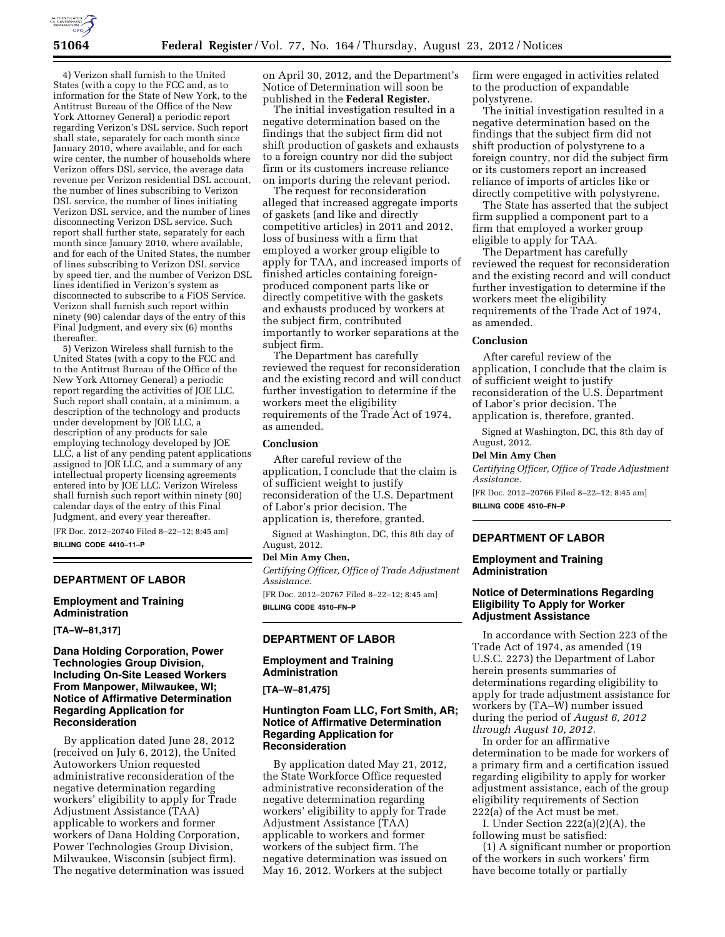

4) Verizon shall furnish to the United States (with a copy to the FCC and, as to information for the State of New York, to the Antitrust Bureau of the Office of the New York Attorney General) a periodic report regarding Verizon's DSL service. Such report shall state, separately for each month since January 2010, where available, and for each wire center, the number of households where Verizon offers DSL service, the average data revenue per Verizon residential DSL account, the number of lines subscribing to Verizon DSL service, the number of lines initiating Verizon DSL service, and the number of lines disconnecting Verizon DSL service. Such report shall further state, separately for each month since January 2010, where available, and for each of the United States, the number of lines subscribing to Verizon DSL service by speed tier, and the number of Verizon DSL lines identified in Verizon's system as disconnected to subscribe to a FiOS Service. Verizon shall furnish such report within ninety (90) calendar days of the entry of this Final Judgment, and every six (6) months thereafter.

5) Verizon Wireless shall furnish to the United States (with a copy to the FCC and to the Antitrust Bureau of the Office of the New York Attorney General) a periodic report regarding the activities of JOE LLC. Such report shall contain, at a minimum, a description of the technology and products under development by JOE LLC, a description of any products for sale employing technology developed by JOE LLC, a list of any pending patent applications assigned to JOE LLC, and a summary of any intellectual property licensing agreements entered into by JOE LLC. Verizon Wireless shall furnish such report within ninety (90) calendar days of the entry of this Final Judgment, and every year thereafter.

[FR Doc. 2012–20740 Filed 8–22–12; 8:45 am] **BILLING CODE 4410–11–P** 

### **DEPARTMENT OF LABOR**

**Employment and Training Administration** 

**[TA–W–81,317]** 

### **Dana Holding Corporation, Power Technologies Group Division, Including On-Site Leased Workers From Manpower, Milwaukee, WI; Notice of Affirmative Determination Regarding Application for Reconsideration**

By application dated June 28, 2012 (received on July 6, 2012), the United Autoworkers Union requested administrative reconsideration of the negative determination regarding workers' eligibility to apply for Trade Adjustment Assistance (TAA) applicable to workers and former workers of Dana Holding Corporation, Power Technologies Group Division, Milwaukee, Wisconsin (subject firm). The negative determination was issued on April 30, 2012, and the Department's Notice of Determination will soon be published in the **Federal Register.** 

The initial investigation resulted in a negative determination based on the findings that the subject firm did not shift production of gaskets and exhausts to a foreign country nor did the subject firm or its customers increase reliance on imports during the relevant period.

The request for reconsideration alleged that increased aggregate imports of gaskets (and like and directly competitive articles) in 2011 and 2012, loss of business with a firm that employed a worker group eligible to apply for TAA, and increased imports of finished articles containing foreignproduced component parts like or directly competitive with the gaskets and exhausts produced by workers at the subject firm, contributed importantly to worker separations at the subject firm.

The Department has carefully reviewed the request for reconsideration and the existing record and will conduct further investigation to determine if the workers meet the eligibility requirements of the Trade Act of 1974, as amended.

#### **Conclusion**

After careful review of the application, I conclude that the claim is of sufficient weight to justify reconsideration of the U.S. Department of Labor's prior decision. The application is, therefore, granted.

Signed at Washington, DC, this 8th day of August, 2012.

#### **Del Min Amy Chen,**

*Certifying Officer, Office of Trade Adjustment Assistance.* 

[FR Doc. 2012–20767 Filed 8–22–12; 8:45 am] **BILLING CODE 4510–FN–P** 

### **DEPARTMENT OF LABOR**

#### **Employment and Training Administration**

**[TA–W–81,475]** 

# **Huntington Foam LLC, Fort Smith, AR; Notice of Affirmative Determination Regarding Application for Reconsideration**

By application dated May 21, 2012, the State Workforce Office requested administrative reconsideration of the negative determination regarding workers' eligibility to apply for Trade Adjustment Assistance (TAA) applicable to workers and former workers of the subject firm. The negative determination was issued on May 16, 2012. Workers at the subject

firm were engaged in activities related to the production of expandable polystyrene.

The initial investigation resulted in a negative determination based on the findings that the subject firm did not shift production of polystyrene to a foreign country, nor did the subject firm or its customers report an increased reliance of imports of articles like or directly competitive with polystyrene.

The State has asserted that the subject firm supplied a component part to a firm that employed a worker group eligible to apply for TAA.

The Department has carefully reviewed the request for reconsideration and the existing record and will conduct further investigation to determine if the workers meet the eligibility requirements of the Trade Act of 1974, as amended.

#### **Conclusion**

After careful review of the application, I conclude that the claim is of sufficient weight to justify reconsideration of the U.S. Department of Labor's prior decision. The application is, therefore, granted.

Signed at Washington, DC, this 8th day of August, 2012.

#### **Del Min Amy Chen**

*Certifying Officer, Office of Trade Adjustment Assistance.*  [FR Doc. 2012–20766 Filed 8–22–12; 8:45 am]

**BILLING CODE 4510–FN–P** 

# **DEPARTMENT OF LABOR**

#### **Employment and Training Administration**

# **Notice of Determinations Regarding Eligibility To Apply for Worker Adjustment Assistance**

In accordance with Section 223 of the Trade Act of 1974, as amended (19 U.S.C. 2273) the Department of Labor herein presents summaries of determinations regarding eligibility to apply for trade adjustment assistance for workers by (TA–W) number issued during the period of *August 6, 2012 through August 10, 2012.* 

In order for an affirmative determination to be made for workers of a primary firm and a certification issued regarding eligibility to apply for worker adjustment assistance, each of the group eligibility requirements of Section 222(a) of the Act must be met.

I. Under Section 222(a)(2)(A), the following must be satisfied:

(1) A significant number or proportion of the workers in such workers' firm have become totally or partially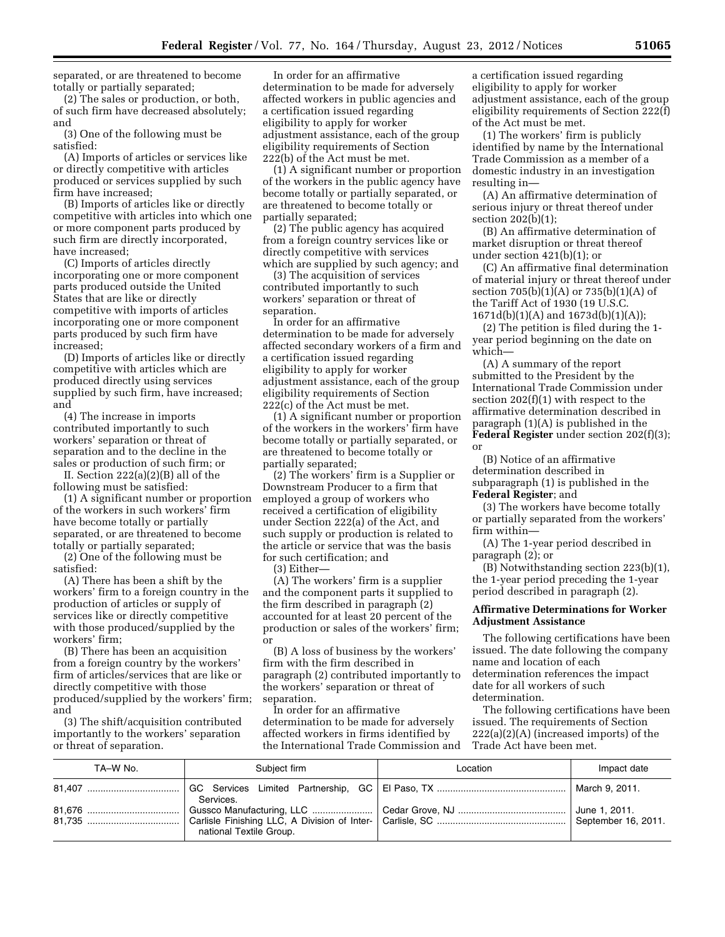separated, or are threatened to become totally or partially separated;

(2) The sales or production, or both, of such firm have decreased absolutely; and

(3) One of the following must be satisfied:

(A) Imports of articles or services like or directly competitive with articles produced or services supplied by such firm have increased;

(B) Imports of articles like or directly competitive with articles into which one or more component parts produced by such firm are directly incorporated, have increased;

(C) Imports of articles directly incorporating one or more component parts produced outside the United States that are like or directly competitive with imports of articles incorporating one or more component parts produced by such firm have increased;

(D) Imports of articles like or directly competitive with articles which are produced directly using services supplied by such firm, have increased; and

(4) The increase in imports contributed importantly to such workers' separation or threat of separation and to the decline in the sales or production of such firm; or

II. Section 222(a)(2)(B) all of the following must be satisfied:

(1) A significant number or proportion of the workers in such workers' firm have become totally or partially separated, or are threatened to become totally or partially separated;

(2) One of the following must be satisfied:

(A) There has been a shift by the workers' firm to a foreign country in the production of articles or supply of services like or directly competitive with those produced/supplied by the workers' firm;

(B) There has been an acquisition from a foreign country by the workers' firm of articles/services that are like or directly competitive with those produced/supplied by the workers' firm; and

(3) The shift/acquisition contributed importantly to the workers' separation or threat of separation.

In order for an affirmative determination to be made for adversely affected workers in public agencies and a certification issued regarding eligibility to apply for worker adjustment assistance, each of the group eligibility requirements of Section 222(b) of the Act must be met.

(1) A significant number or proportion of the workers in the public agency have become totally or partially separated, or are threatened to become totally or partially separated;

(2) The public agency has acquired from a foreign country services like or directly competitive with services which are supplied by such agency; and

(3) The acquisition of services contributed importantly to such workers' separation or threat of separation.

In order for an affirmative determination to be made for adversely affected secondary workers of a firm and a certification issued regarding eligibility to apply for worker adjustment assistance, each of the group eligibility requirements of Section 222(c) of the Act must be met.

(1) A significant number or proportion of the workers in the workers' firm have become totally or partially separated, or are threatened to become totally or partially separated;

(2) The workers' firm is a Supplier or Downstream Producer to a firm that employed a group of workers who received a certification of eligibility under Section 222(a) of the Act, and such supply or production is related to the article or service that was the basis for such certification; and

(3) Either—

(A) The workers' firm is a supplier and the component parts it supplied to the firm described in paragraph (2) accounted for at least 20 percent of the production or sales of the workers' firm; or

(B) A loss of business by the workers' firm with the firm described in paragraph (2) contributed importantly to the workers' separation or threat of separation.

In order for an affirmative determination to be made for adversely affected workers in firms identified by the International Trade Commission and a certification issued regarding eligibility to apply for worker adjustment assistance, each of the group eligibility requirements of Section 222(f) of the Act must be met.

(1) The workers' firm is publicly identified by name by the International Trade Commission as a member of a domestic industry in an investigation resulting in—

(A) An affirmative determination of serious injury or threat thereof under section 202(b)(1);

(B) An affirmative determination of market disruption or threat thereof under section 421(b)(1); or

(C) An affirmative final determination of material injury or threat thereof under section 705(b)(1)(A) or 735(b)(1)(A) of the Tariff Act of 1930 (19 U.S.C. 1671d(b)(1)(A) and 1673d(b)(1)(A));

(2) The petition is filed during the 1 year period beginning on the date on which—

(A) A summary of the report submitted to the President by the International Trade Commission under section 202(f)(1) with respect to the affirmative determination described in paragraph (1)(A) is published in the **Federal Register** under section 202(f)(3); or

(B) Notice of an affirmative determination described in subparagraph (1) is published in the **Federal Register**; and

(3) The workers have become totally or partially separated from the workers' firm within—

(A) The 1-year period described in paragraph (2); or

(B) Notwithstanding section 223(b)(1), the 1-year period preceding the 1-year period described in paragraph (2).

#### **Affirmative Determinations for Worker Adjustment Assistance**

The following certifications have been issued. The date following the company name and location of each determination references the impact date for all workers of such determination.

The following certifications have been issued. The requirements of Section 222(a)(2)(A) (increased imports) of the Trade Act have been met.

| TA-W No. | Subject firm            | Location | Impact date   |
|----------|-------------------------|----------|---------------|
|          | Services.               |          |               |
|          | national Textile Group. |          | June 1, 2011. |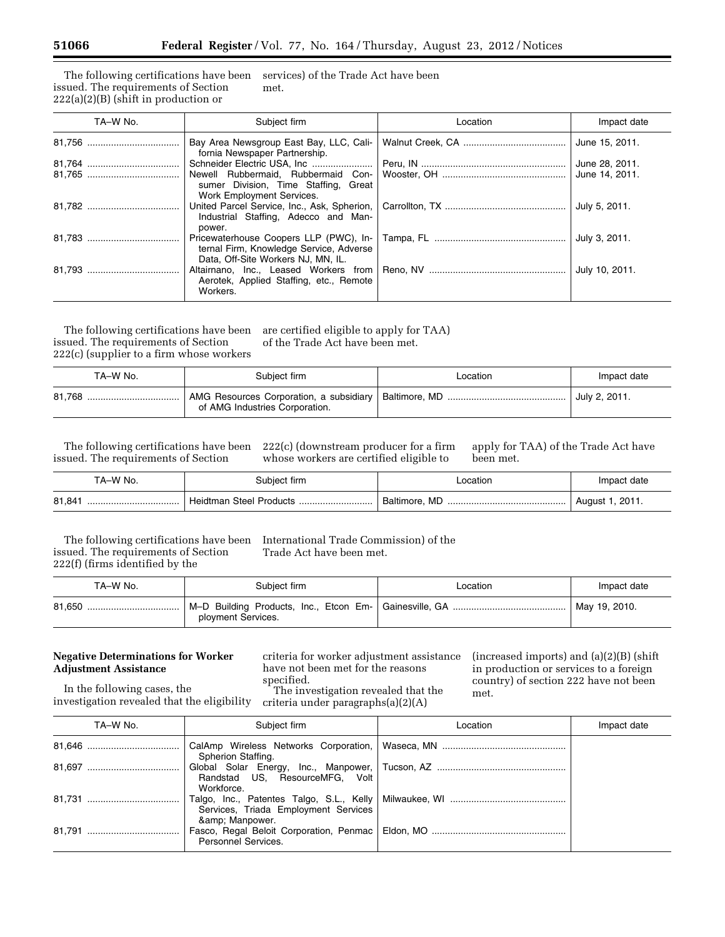The following certifications have been issued. The requirements of Section  $222(a)(2)(B)$  (shift in production or services) of the Trade Act have been met.

| TA-W No. | Subject firm                                                                  | Location | Impact date    |
|----------|-------------------------------------------------------------------------------|----------|----------------|
|          | Bay Area Newsgroup East Bay, LLC, Cali-<br>fornia Newspaper Partnership.      |          | June 15, 2011. |
|          |                                                                               |          | June 28, 2011. |
|          | sumer Division, Time Staffing, Great                                          |          |                |
|          | Work Employment Services.<br>Industrial Staffing, Adecco and Man-<br>power.   |          | July 5, 2011.  |
|          | ternal Firm, Knowledge Service, Adverse<br>Data, Off-Site Workers NJ, MN, IL. |          |                |
|          | Aerotek, Applied Staffing, etc., Remote<br>Workers.                           |          | July 10, 2011. |

The following certifications have been issued. The requirements of Section 222(c) (supplier to a firm whose workers

are certified eligible to apply for TAA) of the Trade Act have been met.

| TA-W No. | Subject firm                   | Location | Impact date   |
|----------|--------------------------------|----------|---------------|
|          | of AMG Industries Corporation. |          | July 2, 2011. |

The following certifications have been issued. The requirements of Section

222(c) (downstream producer for a firm whose workers are certified eligible to

apply for TAA) of the Trade Act have been met.

| TA-W No. | Subject firm            | Location | Impact date          |
|----------|-------------------------|----------|----------------------|
| 81.841   | Heidtman Steel Products |          | $^+$ August 1, 2011. |

The following certifications have been issued. The requirements of Section 222(f) (firms identified by the

International Trade Commission) of the Trade Act have been met.

| TA-W No. | Subject firm       | Location | Impact date   |
|----------|--------------------|----------|---------------|
| 81.650   | ployment Services. |          | May 19, 2010. |

# **Negative Determinations for Worker Adjustment Assistance**

criteria for worker adjustment assistance have not been met for the reasons specified.

(increased imports) and (a)(2)(B) (shift in production or services to a foreign country) of section 222 have not been met.

In the following cases, the investigation revealed that the eligibility

The investigation revealed that the criteria under paragraphs(a)(2)(A)

| TA-W No. | Subject firm                                        | Location | Impact date |
|----------|-----------------------------------------------------|----------|-------------|
|          | Spherion Staffing.                                  |          |             |
|          | Randstad US, ResourceMFG, Volt<br>Workforce.        |          |             |
|          | Services, Triada Employment Services<br>& Manpower. |          |             |
|          | <b>Personnel Services.</b>                          |          |             |